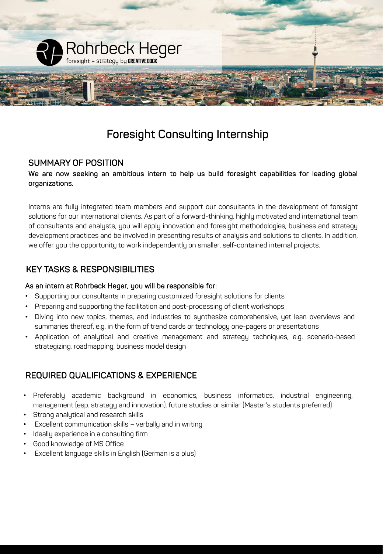

# Foresight Consulting Internship

### SUMMARY OF POSITION

### We are now seeking an ambitious intern to help us build foresight capabilities for leading global organizations.

Interns are fully integrated team members and support our consultants in the development of foresight solutions for our international clients. As part of a forward-thinking, highly motivated and international team of consultants and analysts, you will apply innovation and foresight methodologies, business and strategy development practices and be involved in presenting results of analysis and solutions to clients. In addition, we offer you the opportunity to work independently on smaller, self-contained internal projects.

### KEY TASKS & RESPONSIBILITIES

#### As an intern at Rohrbeck Heger, you will be responsible for:

- Supporting our consultants in preparing customized foresight solutions for clients
- Preparing and supporting the facilitation and post-processing of client workshops
- Diving into new topics, themes, and industries to sunthesize comprehensive, yet lean overviews and summaries thereof, e.g. in the form of trend cards or technology one-pagers or presentations
- Application of analytical and creative management and strategy techniques, e.g. scenario-based strategizing, roadmapping, business model design

# REQUIRED QUALIFICATIONS & EXPERIENCE

- Preferably academic background in economics, business informatics, industrial engineering, management (esp. strategy and innovation), future studies or similar (Master's students preferred)
- Strong analytical and research skills
- Excellent communication skills verbally and in writing
- Ideally experience in a consulting firm
- Good knowledge of MS Office
- Excellent language skills in English (German is a plus)